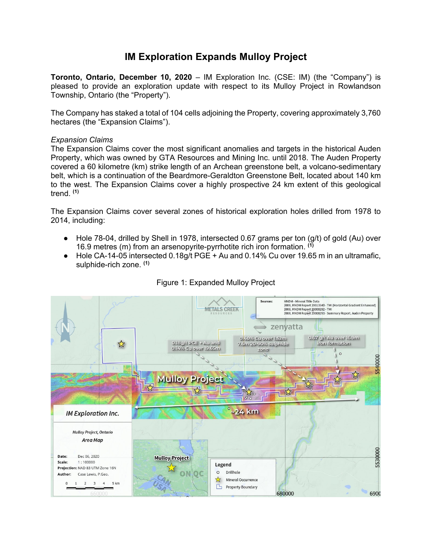# **IM Exploration Expands Mulloy Project**

**Toronto, Ontario, December 10, 2020** – IM Exploration Inc. (CSE: IM) (the "Company") is pleased to provide an exploration update with respect to its Mulloy Project in Rowlandson Township, Ontario (the "Property").

The Company has staked a total of 104 cells adjoining the Property, covering approximately 3,760 hectares (the "Expansion Claims").

### *Expansion Claims*

The Expansion Claims cover the most significant anomalies and targets in the historical Auden Property, which was owned by GTA Resources and Mining Inc. until 2018. The Auden Property covered a 60 kilometre (km) strike length of an Archean greenstone belt, a volcano-sedimentary belt, which is a continuation of the Beardmore-Geraldton Greenstone Belt, located about 140 km to the west. The Expansion Claims cover a highly prospective 24 km extent of this geological trend. **(1)**

The Expansion Claims cover several zones of historical exploration holes drilled from 1978 to 2014, including:

- $\bullet$  Hole 78-04, drilled by Shell in 1978, intersected 0.67 grams per ton  $\left(\frac{g}{t}\right)$  of gold (Au) over 16.9 metres (m) from an arsenopyrite-pyrrhotite rich iron formation. **(1)**
- Hole CA-14-05 intersected 0.18g/t PGE + Au and 0.14% Cu over 19.65 m in an ultramafic, sulphide-rich zone. **(1)**



## Figure 1: Expanded Mulloy Project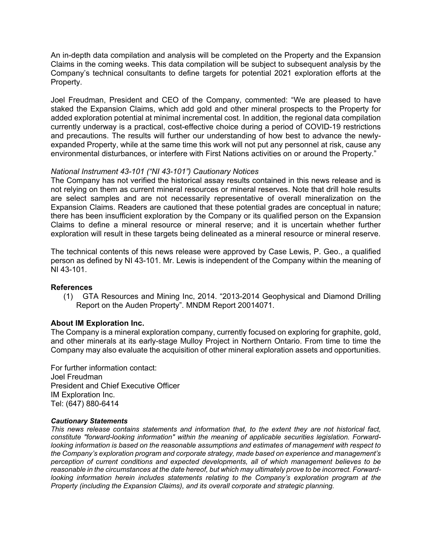An in-depth data compilation and analysis will be completed on the Property and the Expansion Claims in the coming weeks. This data compilation will be subject to subsequent analysis by the Company's technical consultants to define targets for potential 2021 exploration efforts at the Property.

Joel Freudman, President and CEO of the Company, commented: "We are pleased to have staked the Expansion Claims, which add gold and other mineral prospects to the Property for added exploration potential at minimal incremental cost. In addition, the regional data compilation currently underway is a practical, cost-effective choice during a period of COVID-19 restrictions and precautions. The results will further our understanding of how best to advance the newlyexpanded Property, while at the same time this work will not put any personnel at risk, cause any environmental disturbances, or interfere with First Nations activities on or around the Property."

### *National Instrument 43-101 ("NI 43-101") Cautionary Notices*

The Company has not verified the historical assay results contained in this news release and is not relying on them as current mineral resources or mineral reserves. Note that drill hole results are select samples and are not necessarily representative of overall mineralization on the Expansion Claims. Readers are cautioned that these potential grades are conceptual in nature; there has been insufficient exploration by the Company or its qualified person on the Expansion Claims to define a mineral resource or mineral reserve; and it is uncertain whether further exploration will result in these targets being delineated as a mineral resource or mineral reserve.

The technical contents of this news release were approved by Case Lewis, P. Geo., a qualified person as defined by NI 43-101. Mr. Lewis is independent of the Company within the meaning of NI 43-101.

#### **References**

(1) GTA Resources and Mining Inc, 2014. "2013-2014 Geophysical and Diamond Drilling Report on the Auden Property". MNDM Report 20014071.

#### **About IM Exploration Inc.**

The Company is a mineral exploration company, currently focused on exploring for graphite, gold, and other minerals at its early-stage Mulloy Project in Northern Ontario. From time to time the Company may also evaluate the acquisition of other mineral exploration assets and opportunities.

For further information contact: Joel Freudman President and Chief Executive Officer IM Exploration Inc. Tel: (647) 880-6414

#### *Cautionary Statements*

*This news release contains statements and information that, to the extent they are not historical fact, constitute "forward-looking information" within the meaning of applicable securities legislation. Forwardlooking information is based on the reasonable assumptions and estimates of management with respect to the Company's exploration program and corporate strategy, made based on experience and management's perception of current conditions and expected developments, all of which management believes to be reasonable in the circumstances at the date hereof, but which may ultimately prove to be incorrect. Forwardlooking information herein includes statements relating to the Company's exploration program at the Property (including the Expansion Claims), and its overall corporate and strategic planning.*